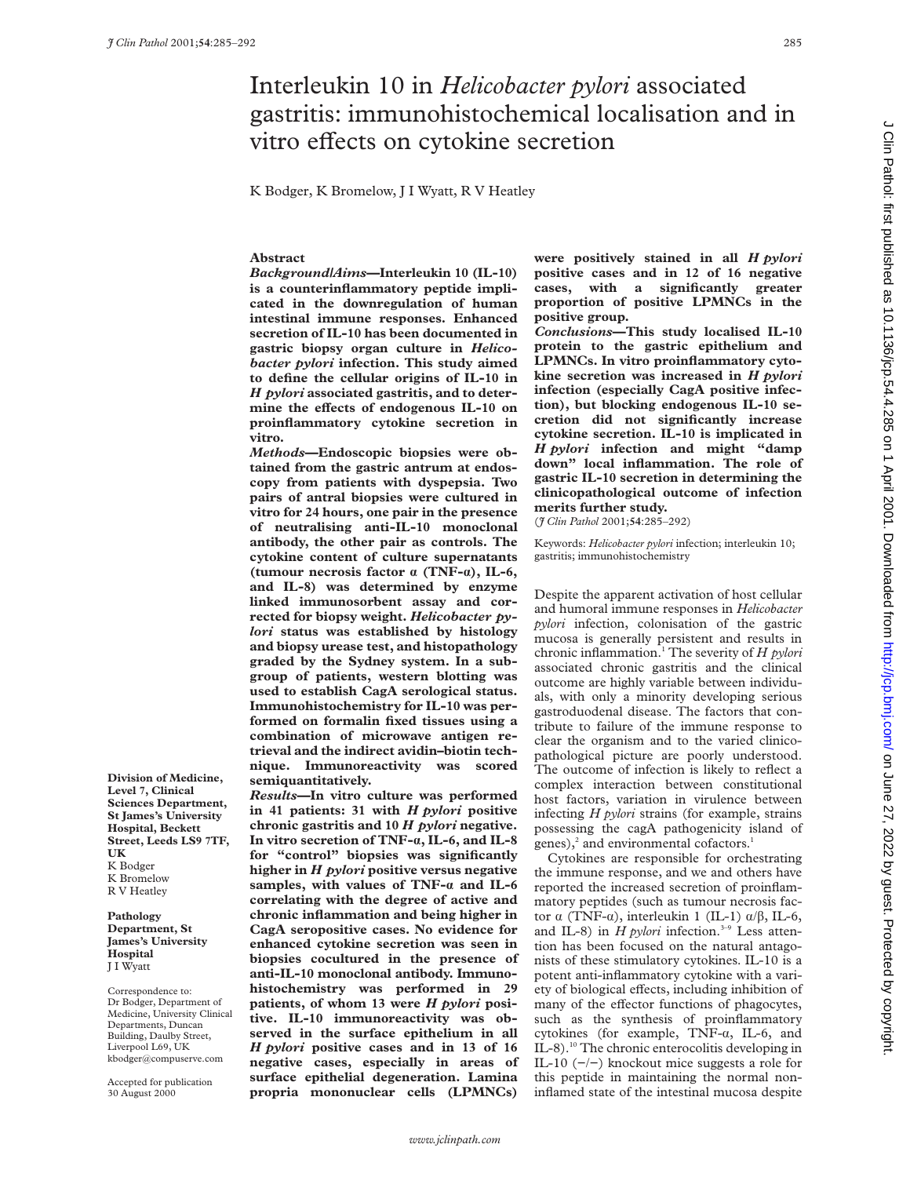# Interleukin 10 in *Helicobacter pylori* associated gastritis: immunohistochemical localisation and in vitro effects on cytokine secretion

K Bodger, K Bromelow, J I Wyatt, R V Heatley

#### **Abstract**

*Background/Aims***—Interleukin 10 (IL-10) is a counterinflammatory peptide implicated in the downregulation of human intestinal immune responses. Enhanced secretion of IL-10 has been documented in gastric biopsy organ culture in** *Helicobacter pylori* **infection. This study aimed to define the cellular origins of IL-10 in** *H pylori* **associated gastritis, and to deter**mine the effects of endogenous IL-10 on **proinflammatory cytokine secretion in vitro.**

*Methods***—Endoscopic biopsies were obtained from the gastric antrum at endoscopy from patients with dyspepsia. Two pairs of antral biopsies were cultured in vitro for 24 hours, one pair in the presence of neutralising anti-IL-10 monoclonal antibody, the other pair as controls. The cytokine content of culture supernatants (tumour necrosis factor á (TNF-á), IL-6, and IL-8) was determined by enzyme linked immunosorbent assay and corrected for biopsy weight.** *Helicobacter pylori* **status was established by histology and biopsy urease test, and histopathology graded by the Sydney system. In a subgroup of patients, western blotting was used to establish CagA serological status. Immunohistochemistry for IL-10 was performed on formalin fixed tissues using a combination of microwave antigen retrieval and the indirect avidin–biotin technique. Immunoreactivity was scored semiquantitatively.**

*Results***—In vitro culture was performed in 41 patients: 31 with** *H pylori* **positive chronic gastritis and 10** *H pylori* **negative. In vitro secretion of TNF-á, IL-6, and IL-8 for "control" biopsies was significantly higher in** *H pylori* **positive versus negative samples, with values of TNF-á and IL-6 correlating with the degree of active and chronic inflammation and being higher in CagA seropositive cases. No evidence for enhanced cytokine secretion was seen in biopsies cocultured in the presence of anti-IL-10 monoclonal antibody. Immunohistochemistry was performed in 29 patients, of whom 13 were** *H pylori* **positive. IL-10 immunoreactivity was observed in the surface epithelium in all** *H pylori* **positive cases and in 13 of 16 negative cases, especially in areas of surface epithelial degeneration. Lamina propria mononuclear cells (LPMNCs)**

**were positively stained in all** *H pylori* **positive cases and in 12 of 16 negative cases, with a significantly greater proportion of positive LPMNCs in the positive group.**

*Conclusions***—This study localised IL-10 protein to the gastric epithelium and LPMNCs. In vitro proinflammatory cytokine secretion was increased in** *H pylori* **infection (especially CagA positive infection), but blocking endogenous IL-10 secretion did not significantly increase cytokine secretion. IL-10 is implicated in** *H pylori* **infection and might "damp down" local inflammation. The role of gastric IL-10 secretion in determining the clinicopathological outcome of infection merits further study.**

(*J Clin Pathol* 2001;**54**:285–292)

Keywords: *Helicobacter pylori* infection; interleukin 10; gastritis; immunohistochemistry

Despite the apparent activation of host cellular and humoral immune responses in *Helicobacter pylori* infection, colonisation of the gastric mucosa is generally persistent and results in chronic inflammation.1 The severity of *H pylori* associated chronic gastritis and the clinical outcome are highly variable between individuals, with only a minority developing serious gastroduodenal disease. The factors that contribute to failure of the immune response to clear the organism and to the varied clinicopathological picture are poorly understood. The outcome of infection is likely to reflect a complex interaction between constitutional host factors, variation in virulence between infecting *H pylori* strains (for example, strains possessing the cagA pathogenicity island of genes), $^{2}$  and environmental cofactors.<sup>1</sup>

Cytokines are responsible for orchestrating the immune response, and we and others have reported the increased secretion of proinflammatory peptides (such as tumour necrosis factor  $\alpha$  (TNF- $\alpha$ ), interleukin 1 (IL-1)  $\alpha/\beta$ , IL-6, and IL-8) in  $H$  pylori infection.<sup>3-9</sup> Less attention has been focused on the natural antagonists of these stimulatory cytokines. IL-10 is a potent anti-inflammatory cytokine with a variety of biological effects, including inhibition of many of the effector functions of phagocytes, such as the synthesis of proinflammatory cytokines (for example, TNF- $\alpha$ , IL-6, and IL-8).10 The chronic enterocolitis developing in IL-10 (−/−) knockout mice suggests a role for this peptide in maintaining the normal noninflamed state of the intestinal mucosa despite

**Division of Medicine, Level 7, Clinical Sciences Department, St James's University Hospital, Beckett Street, Leeds LS9 7TF, UK** K Bodger K Bromelow R V Heatley

**Pathology Department, St James's University Hospital** J I Wyatt

Correspondence to: Dr Bodger, Department of Medicine, University Clinical Departments, Duncan Building, Daulby Street, Liverpool L69, UK kbodger@compuserve.com

Accepted for publication 30 August 2000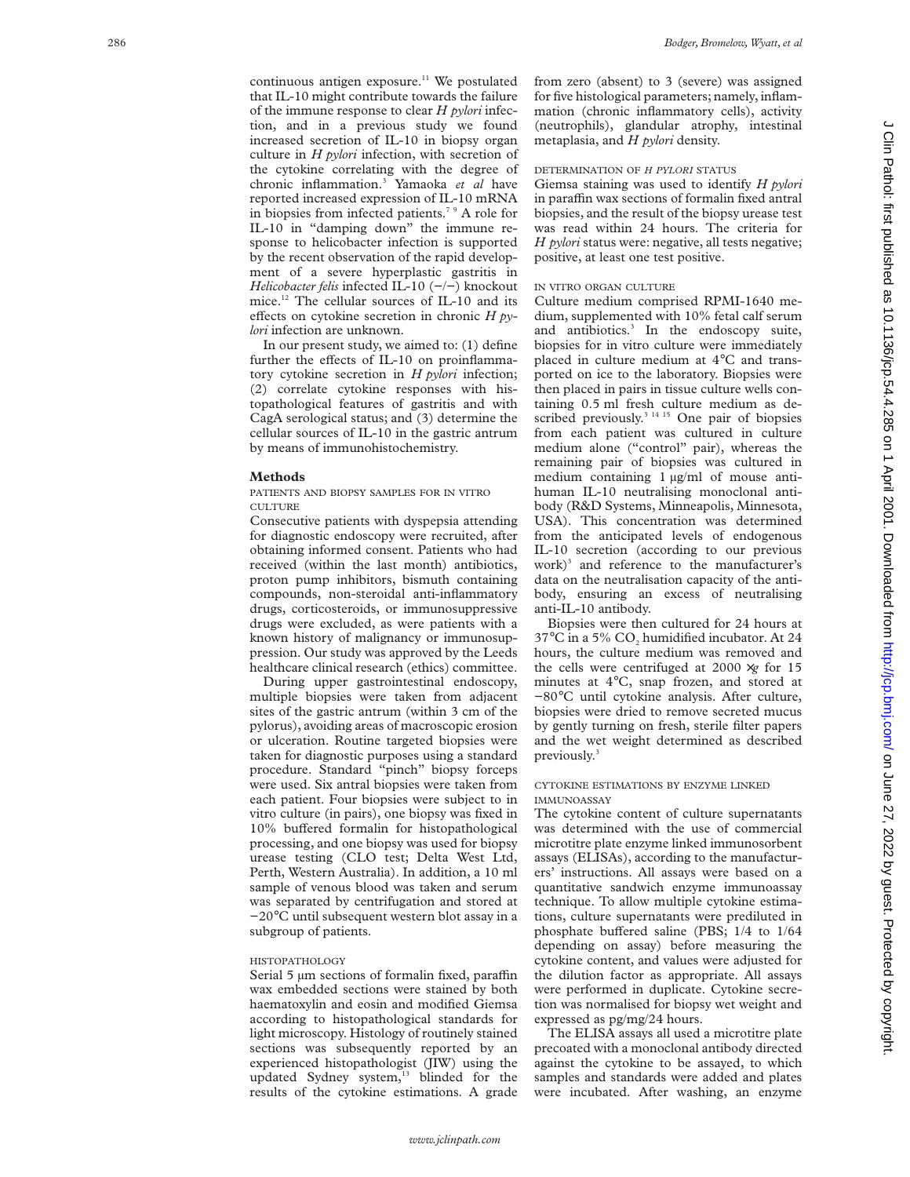continuous antigen exposure.<sup>11</sup> We postulated that IL-10 might contribute towards the failure of the immune response to clear *H pylori* infection, and in a previous study we found increased secretion of IL-10 in biopsy organ culture in *H pylori* infection, with secretion of the cytokine correlating with the degree of chronic inflammation. <sup>3</sup> Yamaoka *et al* have reported increased expression of IL-10 mRNA in biopsies from infected patients.<sup>7</sup> <sup>9</sup> A role for IL-10 in "damping down" the immune response to helicobacter infection is supported by the recent observation of the rapid development of a severe hyperplastic gastritis in *Helicobacter felis* infected IL-10 (−/−) knockout mice.12 The cellular sources of IL-10 and its effects on cytokine secretion in chronic *H pylori* infection are unknown.

In our present study, we aimed to: (1) define further the effects of IL-10 on proinflammatory cytokine secretion in *H pylori* infection; (2) correlate cytokine responses with histopathological features of gastritis and with CagA serological status; and (3) determine the cellular sources of IL-10 in the gastric antrum by means of immunohistochemistry.

#### **Methods**

PATIENTS AND BIOPSY SAMPLES FOR IN VITRO CULTURE

Consecutive patients with dyspepsia attending for diagnostic endoscopy were recruited, after obtaining informed consent. Patients who had received (within the last month) antibiotics, proton pump inhibitors, bismuth containing compounds, non-steroidal anti-inflammatory drugs, corticosteroids, or immunosuppressive drugs were excluded, as were patients with a known history of malignancy or immunosuppression. Our study was approved by the Leeds healthcare clinical research (ethics) committee.

During upper gastrointestinal endoscopy, multiple biopsies were taken from adjacent sites of the gastric antrum (within 3 cm of the pylorus), avoiding areas of macroscopic erosion or ulceration. Routine targeted biopsies were taken for diagnostic purposes using a standard procedure. Standard "pinch" biopsy forceps were used. Six antral biopsies were taken from each patient. Four biopsies were subject to in vitro culture (in pairs), one biopsy was fixed in 10% buffered formalin for histopathological processing, and one biopsy was used for biopsy urease testing (CLO test; Delta West Ltd, Perth, Western Australia). In addition, a 10 ml sample of venous blood was taken and serum was separated by centrifugation and stored at −20 °C until subsequent western blot assay in a subgroup of patients.

#### HISTOPATHOLOGY

Serial 5 µm sections of formalin fixed, paraffin wax embedded sections were stained by both haematoxylin and eosin and modified Giemsa according to histopathological standards for light microscopy. Histology of routinely stained sections was subsequently reported by an experienced histopathologist (JIW) using the updated Sydney system,<sup>13</sup> blinded for the results of the cytokine estimations. A grade

from zero (absent) to 3 (severe) was assigned for five histological parameters; namely, inflammation (chronic inflammatory cells), activity (neutrophils), glandular atrophy, intestinal metaplasia, and *H pylori* density.

#### DETERMINATION OF *H PYLORI* STATUS

Giemsa staining was used to identify *H pylori* in paraffin wax sections of formalin fixed antral biopsies, and the result of the biopsy urease test was read within 24 hours. The criteria for *H pylori* status were: negative, all tests negative; positive, at least one test positive.

#### IN VITRO ORGAN CULTURE

Culture medium comprised RPMI-1640 medium, supplemented with 10% fetal calf serum and antibiotics. <sup>3</sup> In the endoscopy suite, biopsies for in vitro culture were immediately placed in culture medium at 4 °C and transported on ice to the laboratory. Biopsies were then placed in pairs in tissue culture wells containing 0.5 ml fresh culture medium as described previously. $3^{3}$ <sup>14 15</sup> One pair of biopsies from each patient was cultured in culture medium alone ("control" pair), whereas the remaining pair of biopsies was cultured in medium containing 1 µg/ml of mouse antihuman IL-10 neutralising monoclonal antibody (R&D Systems, Minneapolis, Minnesota, USA). This concentration was determined from the anticipated levels of endogenous IL-10 secretion (according to our previous work) <sup>3</sup> and reference to the manufacturer's data on the neutralisation capacity of the antibody, ensuring an excess of neutralising anti-IL-10 antibody.

Biopsies were then cultured for 24 hours at 37°C in a 5%  $\rm CO_2$  humidified incubator. At 24 hours, the culture medium was removed and the cells were centrifuged at 2000 ×*g* for 15 minutes at 4 °C, snap frozen, and stored at −80 °C until cytokine analysis. After culture, biopsies were dried to remove secreted mucus by gently turning on fresh, sterile filter papers and the wet weight determined as described previously. 3

#### CYTOKINE ESTIMATIONS BY ENZYME LINKED IMMUNOASSAY

The cytokine content of culture supernatants was determined with the use of commercial microtitre plate enzyme linked immunosorbent assays (ELISAs), according to the manufacturers' instructions. All assays were based on a quantitative sandwich enzyme immunoassay technique. To allow multiple cytokine estimations, culture supernatants were prediluted in phosphate buffered saline (PBS; 1/4 to 1/64 depending on assay) before measuring the cytokine content, and values were adjusted for the dilution factor as appropriate. All assays were performed in duplicate. Cytokine secretion was normalised for biopsy wet weight and expressed as pg/mg/24 hours.

The ELISA assays all used a microtitre plate precoated with a monoclonal antibody directed against the cytokine to be assayed, to which samples and standards were added and plates were incubated. After washing, an enzyme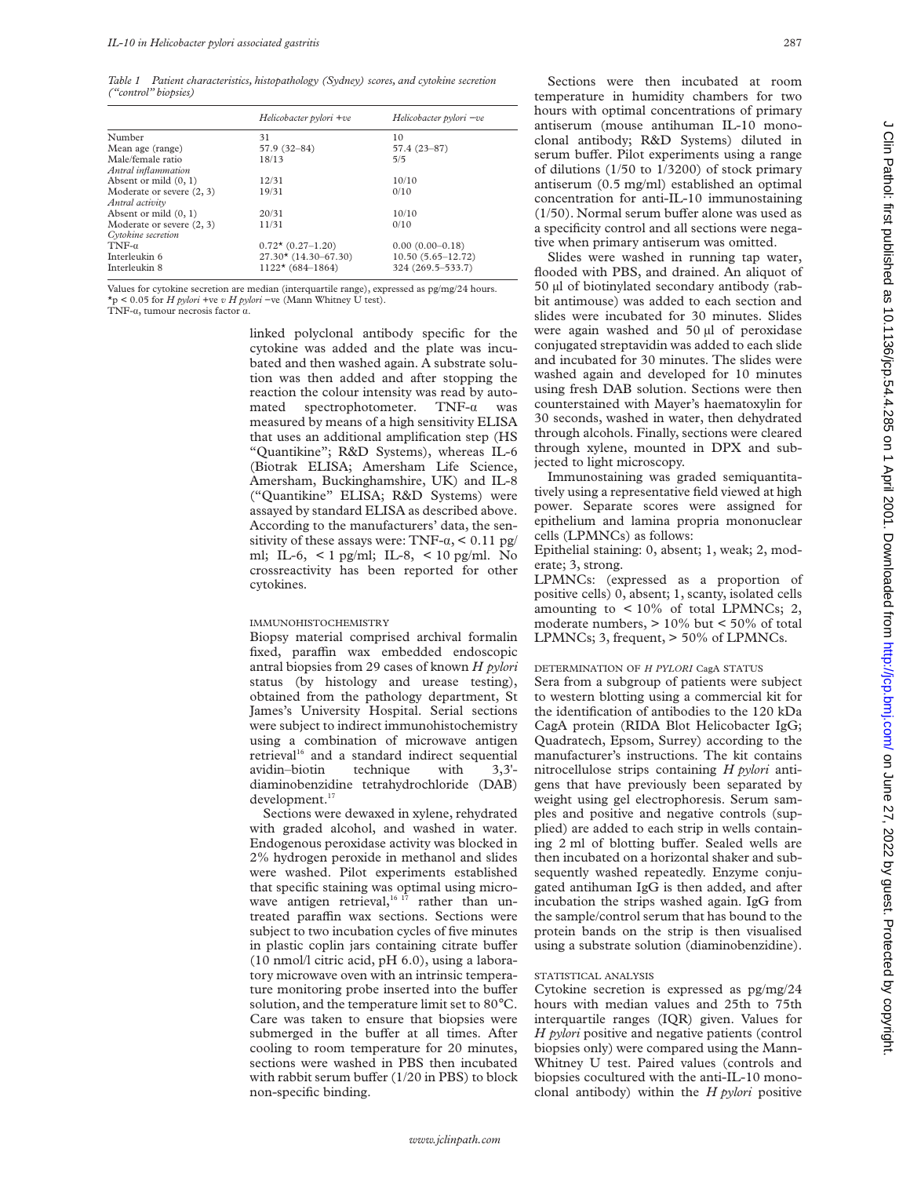*Table 1 Patient characteristics, histopathology (Sydney) scores, and cytokine secretion ("control" biopsies)*

|                           | Helicobacter pylori +ve    | Helicobacter pylori -ve |
|---------------------------|----------------------------|-------------------------|
| Number                    | 31                         | 10                      |
| Mean age (range)          | 57.9 (32-84)               | 57.4 (23-87)            |
| Male/female ratio         | 18/13                      | 5/5                     |
| Antral inflammation       |                            |                         |
| Absent or mild $(0, 1)$   | 12/31                      | 10/10                   |
| Moderate or severe (2, 3) | 19/31                      | 0/10                    |
| Antral activity           |                            |                         |
| Absent or mild $(0, 1)$   | 20/31                      | 10/10                   |
| Moderate or severe (2, 3) | 11/31                      | 0/10                    |
| Cytokine secretion        |                            |                         |
| $TNF-\alpha$              | $0.72 \star (0.27 - 1.20)$ | $0.00(0.00-0.18)$       |
| Interleukin 6             | $27.30*(14.30-67.30)$      | $10.50(5.65 - 12.72)$   |
| Interleukin 8             | $1122*(684-1864)$          | 324 (269.5-533.7)       |

Values for cytokine secretion are median (interquartile range), expressed as pg/mg/24 hours. \*p < 0.05 for *H pylori* +ve *v H pylori* −ve (Mann Whitney U test).

TNF- $\alpha$ , tumour necrosis factor  $\alpha$ .

linked polyclonal antibody specific for the cytokine was added and the plate was incubated and then washed again. A substrate solution was then added and after stopping the reaction the colour intensity was read by automated spectrophotometer. TNF- $\alpha$  was measured by means of a high sensitivity ELISA that uses an additional amplification step (HS "Quantikine"; R&D Systems), whereas IL-6 (Biotrak ELISA; Amersham Life Science, Amersham, Buckinghamshire, UK) and IL-8 ("Quantikine" ELISA; R&D Systems) were assayed by standard ELISA as described above. According to the manufacturers' data, the sensitivity of these assays were: TNF- $\alpha$ , < 0.11 pg/ ml; IL-6, < 1 pg/ml; IL-8, < 10 pg/ml. No crossreactivity has been reported for other cytokines.

#### IMMUNOHISTOCHEMISTRY

Biopsy material comprised archival formalin fixed, paraffin wax embedded endoscopic antral biopsies from 29 cases of known *H pylori* status (by histology and urease testing), obtained from the pathology department, St James's University Hospital. Serial sections were subject to indirect immunohistochemistry using a combination of microwave antigen retrieval<sup>16</sup> and a standard indirect sequential avidin–biotin technique with 3,3' diaminobenzidine tetrahydrochloride (DAB) development.<sup>17</sup>

Sections were dewaxed in xylene, rehydrated with graded alcohol, and washed in water. Endogenous peroxidase activity was blocked in 2% hydrogen peroxide in methanol and slides were washed. Pilot experiments established that specific staining was optimal using microwave antigen retrieval,  $16^{17}$  rather than untreated paraffin wax sections. Sections were subject to two incubation cycles of five minutes in plastic coplin jars containing citrate buffer (10 nmol/l citric acid, pH 6.0), using a laboratory microwave oven with an intrinsic temperature monitoring probe inserted into the buffer solution, and the temperature limit set to 80°C. Care was taken to ensure that biopsies were submerged in the buffer at all times. After cooling to room temperature for 20 minutes, sections were washed in PBS then incubated with rabbit serum buffer  $(1/20 \text{ in } PBS)$  to block non-specific binding.

Sections were then incubated at room temperature in humidity chambers for two hours with optimal concentrations of primary antiserum (mouse antihuman IL-10 monoclonal antibody; R&D Systems) diluted in serum buffer. Pilot experiments using a range of dilutions ( $1/50$  to  $1/3200$ ) of stock primary antiserum (0.5 mg/ml) established an optimal concentration for anti-IL-10 immunostaining  $(1/50)$ . Normal serum buffer alone was used as a specificity control and all sections were negative when primary antiserum was omitted.

Slides were washed in running tap water, flooded with PBS, and drained. An aliquot of 50 µl of biotinylated secondary antibody (rabbit antimouse) was added to each section and slides were incubated for 30 minutes. Slides were again washed and 50 µl of peroxidase conjugated streptavidin was added to each slide and incubated for 30 minutes. The slides were washed again and developed for 10 minutes using fresh DAB solution. Sections were then counterstained with Mayer's haematoxylin for 30 seconds, washed in water, then dehydrated through alcohols. Finally, sections were cleared through xylene, mounted in DPX and subjected to light microscopy.

Immunostaining was graded semiquantitatively using a representative field viewed at high power. Separate scores were assigned for epithelium and lamina propria mononuclear cells (LPMNCs) as follows:

Epithelial staining: 0, absent; 1, weak; 2, moderate; 3, strong.

LPMNCs: (expressed as a proportion of positive cells) 0, absent; 1, scanty, isolated cells amounting to  $< 10\%$  of total LPMNCs; 2, moderate numbers, > 10% but < 50% of total LPMNCs; 3, frequent, > 50% of LPMNCs.

#### DETERMINATION OF *H PYLORI* CagA STATUS

Sera from a subgroup of patients were subject to western blotting using a commercial kit for the identification of antibodies to the 120 kDa CagA protein (RIDA Blot Helicobacter IgG; Quadratech, Epsom, Surrey) according to the manufacturer's instructions. The kit contains nitrocellulose strips containing *H pylori* antigens that have previously been separated by weight using gel electrophoresis. Serum samples and positive and negative controls (supplied) are added to each strip in wells containing 2 ml of blotting buffer. Sealed wells are then incubated on a horizontal shaker and subsequently washed repeatedly. Enzyme conjugated antihuman IgG is then added, and after incubation the strips washed again. IgG from the sample/control serum that has bound to the protein bands on the strip is then visualised using a substrate solution (diaminobenzidine).

#### STATISTICAL ANALYSIS

Cytokine secretion is expressed as pg/mg/24 hours with median values and 25th to 75th interquartile ranges (IQR) given. Values for *H pylori* positive and negative patients (control biopsies only) were compared using the Mann-Whitney U test. Paired values (controls and biopsies cocultured with the anti-IL-10 monoclonal antibody) within the *H pylori* positive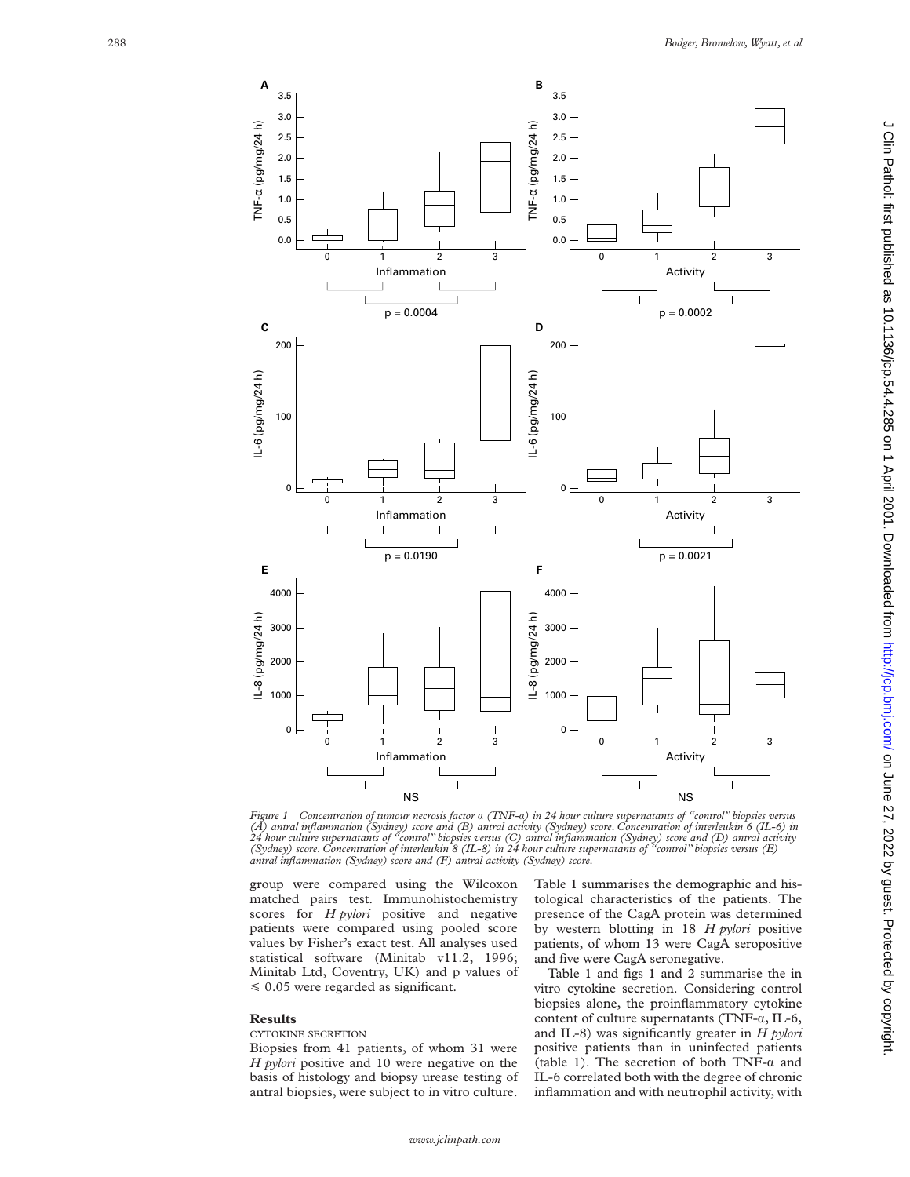

*Figure 1 Concentration of tumour necrosis factor* á *(TNF-*á*) in 24 hour culture supernatants of "control" biopsies versus* (A) antral inflammation (Sydney) score and (B) antral activity (Sydney) score. Concentration of interleukin 6 (IL-6) in<br>24 hour culture supernatants of "control" biopsies versus (C) antral inflammation (Sydney) score and ( *antral inflammation (Sydney) score and (F) antral activity (Sydney) score.*

group were compared using the Wilcoxon matched pairs test. Immunohistochemistry scores for *H pylori* positive and negative patients were compared using pooled score values by Fisher's exact test. All analyses used statistical software (Minitab v11.2, 1996; Minitab Ltd, Coventry, UK) and p values of  $\leq 0.05$  were regarded as significant.

#### **Results**

### CYTOKINE SECRETION

Biopsies from 41 patients, of whom 31 were *H pylori* positive and 10 were negative on the basis of histology and biopsy urease testing of antral biopsies, were subject to in vitro culture. Table 1 summarises the demographic and histological characteristics of the patients. The presence of the CagA protein was determined by western blotting in 18 *H pylori* positive patients, of whom 13 were CagA seropositive and five were CagA seronegative.

Table 1 and figs 1 and 2 summarise the in vitro cytokine secretion. Considering control biopsies alone, the proinflammatory cytokine content of culture supernatants (TNF- $\alpha$ , IL-6, and IL-8) was significantly greater in *H pylori* positive patients than in uninfected patients (table 1). The secretion of both TNF- $\alpha$  and IL-6 correlated both with the degree of chronic inflammation and with neutrophil activity, with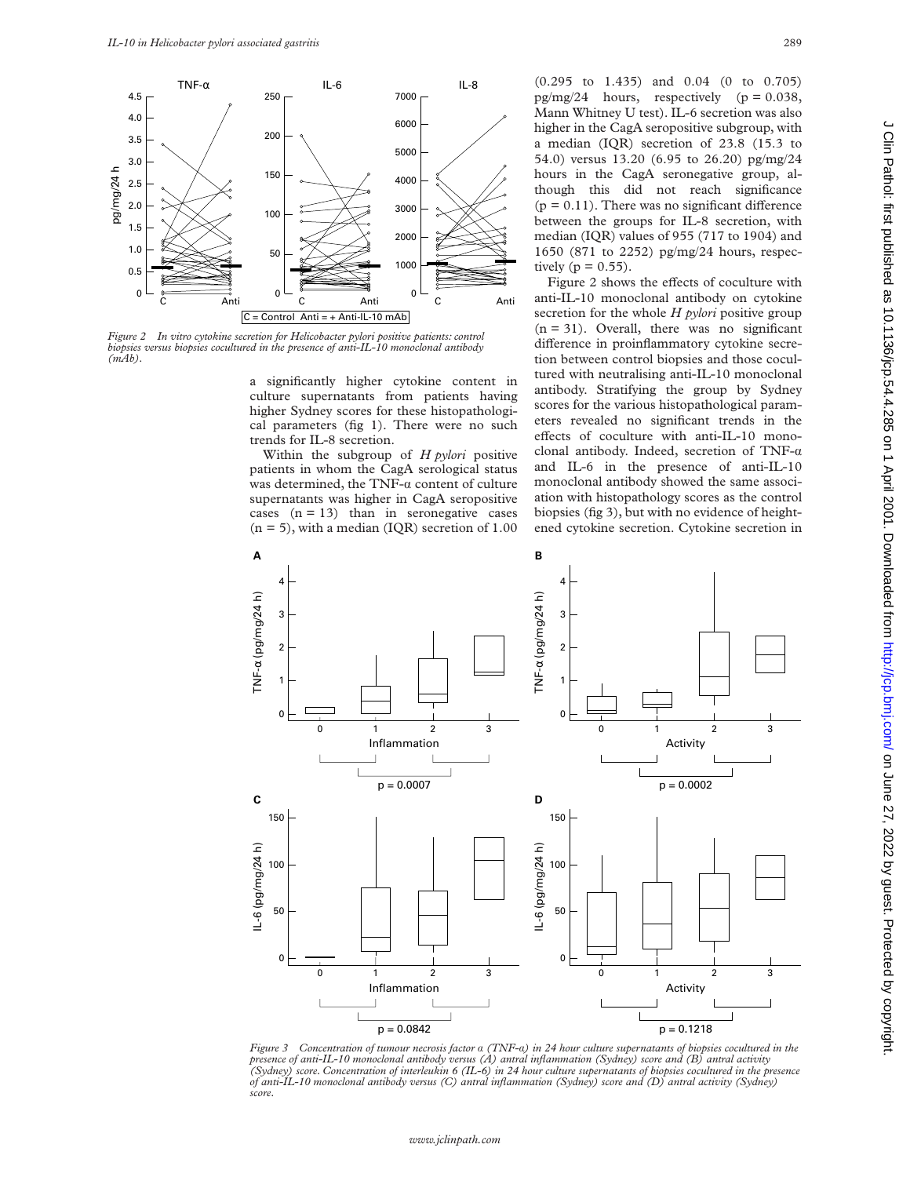

*Figure 2 In vitro cytokine secretion for Helicobacter pylori positive patients: control biopsies versus biopsies cocultured in the presence of anti-IL-10 monoclonal antibody (mAb).*

a significantly higher cytokine content in culture supernatants from patients having higher Sydney scores for these histopathological parameters (fig 1). There were no such trends for IL-8 secretion.

Within the subgroup of *H pylori* positive patients in whom the CagA serological status was determined, the TNF- $\alpha$  content of culture supernatants was higher in CagA seropositive cases  $(n = 13)$  than in seronegative cases  $(n = 5)$ , with a median (IQR) secretion of 1.00 (0.295 to 1.435) and 0.04 (0 to 0.705) pg/mg/24 hours, respectively  $(p = 0.038,$ Mann Whitney U test). IL-6 secretion was also higher in the CagA seropositive subgroup, with a median (IQR) secretion of 23.8 (15.3 to 54.0) versus 13.20 (6.95 to 26.20) pg/mg/24 hours in the CagA seronegative group, although this did not reach significance  $(p = 0.11)$ . There was no significant difference between the groups for IL-8 secretion, with median (IQR) values of 955 (717 to 1904) and 1650 (871 to 2252) pg/mg/24 hours, respectively ( $p = 0.55$ ).

Figure 2 shows the effects of coculture with anti-IL-10 monoclonal antibody on cytokine secretion for the whole *H pylori* positive group  $(n = 31)$ . Overall, there was no significant difference in proinflammatory cytokine secretion between control biopsies and those cocultured with neutralising anti-IL-10 monoclonal antibody. Stratifying the group by Sydney scores for the various histopathological parameters revealed no significant trends in the effects of coculture with anti-IL-10 monoclonal antibody. Indeed, secretion of TNF- $\alpha$ and IL-6 in the presence of anti-IL-10 monoclonal antibody showed the same association with histopathology scores as the control biopsies (fig 3), but with no evidence of heightened cytokine secretion. Cytokine secretion in



*Figure 3 Concentration of tumour necrosis factor* á *(TNF-*á*) in 24 hour culture supernatants of biopsies cocultured in the presence of anti-IL-10 monoclonal antibody versus (A) antral inflammation (Sydney) score and (B) antral activity (Sydney) score. Concentration of interleukin 6 (IL-6) in 24 hour culture supernatants of biopsies cocultured in the presence of anti-IL-10 monoclonal antibody versus (C) antral inflammation (Sydney) score and (D) antral activity (Sydney) score.*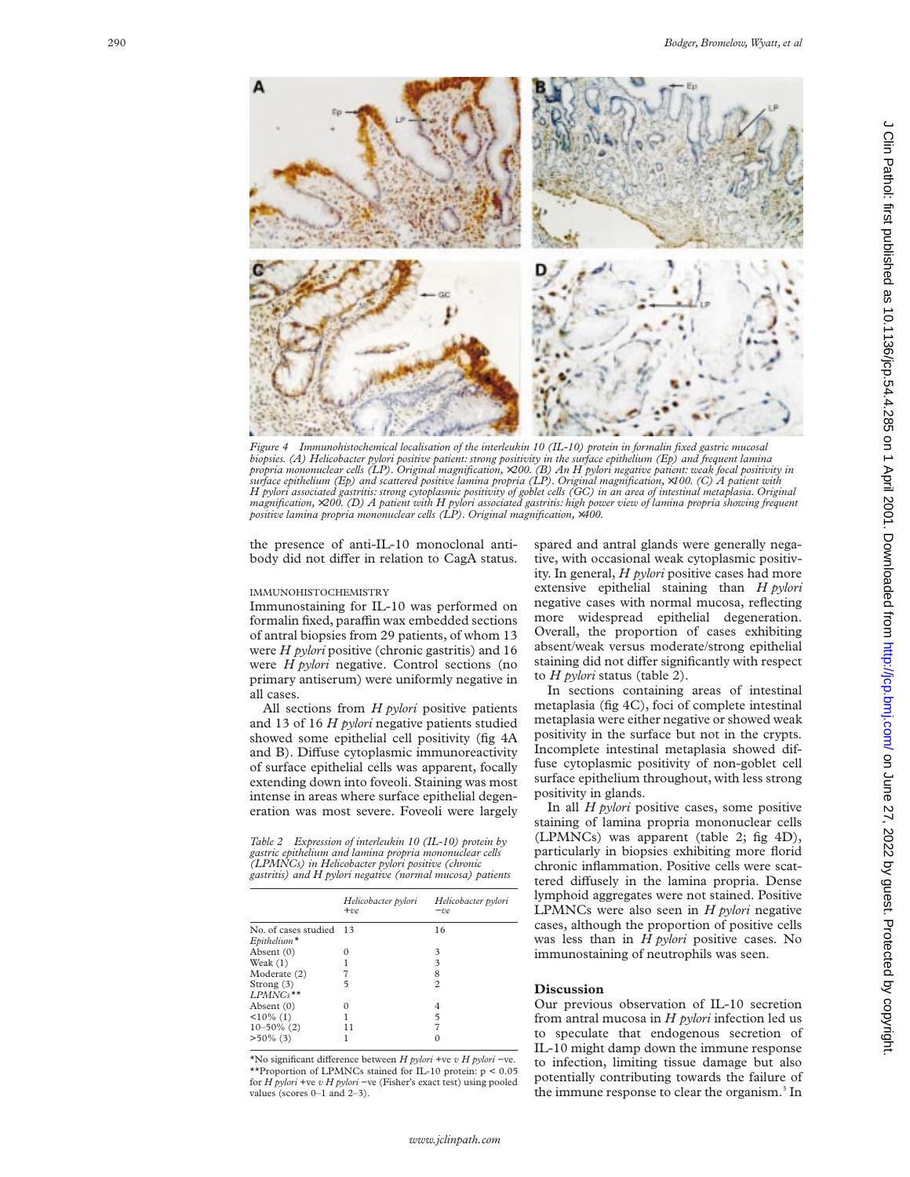

*Figure 4 Immunohistochemical localisation of the interleukin 10 (IL-10) protein in formalin fixed gastric mucosal biopsies. (A) Helicobacter pylori positive patient: strong positivity in the surface epithelium (Ep) and frequent lamina propria mononuclear cells (LP). Original magnification,* ×*200. (B) An H pylori negative patient: weak focal positivity in surface epithelium (Ep) and scattered positive lamina propria (LP). Original magnification,* ×*100. (C) A patient with H pylori associated gastritis: strong cytoplasmic positivity of goblet cells (GC) in an area of intestinal metaplasia. Original* magnification,×200. (D) A patient with H pylori associated gastritis: high power view of lamina propria showing frequent<br>positive lamina propria mononuclear cells (LP). Original magnification,×400.

the presence of anti-IL-10 monoclonal antibody did not differ in relation to CagA status.

#### IMMUNOHISTOCHEMISTRY

Immunostaining for IL-10 was performed on formalin fixed, paraffin wax embedded sections of antral biopsies from 29 patients, of whom 13 were *H pylori* positive (chronic gastritis) and 16 were *H pylori* negative. Control sections (no primary antiserum) were uniformly negative in all cases.

All sections from *H pylori* positive patients and 13 of 16 *H pylori* negative patients studied showed some epithelial cell positivity (fig 4A and B). Diffuse cytoplasmic immunoreactivity of surface epithelial cells was apparent, focally extending down into foveoli. Staining was most intense in areas where surface epithelial degeneration was most severe. Foveoli were largely

*Table 2 Expression of interleukin 10 (IL-10) protein by gastric epithelium and lamina propria mononuclear cells (LPMNCs) in Helicobacter pylori positive (chronic gastritis) and H pylori negative (normal mucosa) patients*

|                                                | Helicobacter pylori<br>$+ve$ | Helicobacter pylori<br>$-ve$ |
|------------------------------------------------|------------------------------|------------------------------|
| No. of cases studied<br>$E$ pithelium $^\star$ | - 13                         | 16                           |
| Absent (0)                                     | 0                            | 3                            |
| Weak (1)                                       |                              | 3                            |
| Moderate (2)                                   |                              | 8                            |
| Strong (3)                                     | 5                            | $\overline{c}$               |
| LPMNCs**                                       |                              |                              |
| Absent (0)                                     | 0                            | 4                            |
| $<10\%$ (1)                                    |                              | 5                            |
| $10 - 50\%$ (2)                                | 11                           | 7                            |
| $>50\%$ (3)                                    |                              | 0                            |
|                                                |                              |                              |

\*No significant di Verence between *H pylori* +ve *v H pylori* −ve. \*\*Proportion of LPMNCs stained for IL-10 protein: p < 0.05 for *H pylori* +ve *v H pylori* −ve (Fisher's exact test) using pooled values (scores 0–1 and 2–3).

spared and antral glands were generally negative, with occasional weak cytoplasmic positivity. In general, *H pylori* positive cases had more extensive epithelial staining than *H pylori* negative cases with normal mucosa, reflecting more widespread epithelial degeneration. Overall, the proportion of cases exhibiting absent/weak versus moderate/strong epithelial staining did not differ significantly with respect to *H pylori* status (table 2).

In sections containing areas of intestinal metaplasia (fig 4C), foci of complete intestinal metaplasia were either negative or showed weak positivity in the surface but not in the crypts. Incomplete intestinal metaplasia showed diffuse cytoplasmic positivity of non-goblet cell surface epithelium throughout, with less strong positivity in glands.

In all *H pylori* positive cases, some positive staining of lamina propria mononuclear cells (LPMNCs) was apparent (table 2; fig 4D), particularly in biopsies exhibiting more florid chronic inflammation. Positive cells were scattered diffusely in the lamina propria. Dense lymphoid aggregates were not stained. Positive LPMNCs were also seen in *H pylori* negative cases, although the proportion of positive cells was less than in *H pylori* positive cases. No immunostaining of neutrophils was seen.

#### **Discussion**

Our previous observation of IL-10 secretion from antral mucosa in *H pylori* infection led us to speculate that endogenous secretion of IL-10 might damp down the immune response to infection, limiting tissue damage but also potentially contributing towards the failure of the immune response to clear the organism. <sup>3</sup> In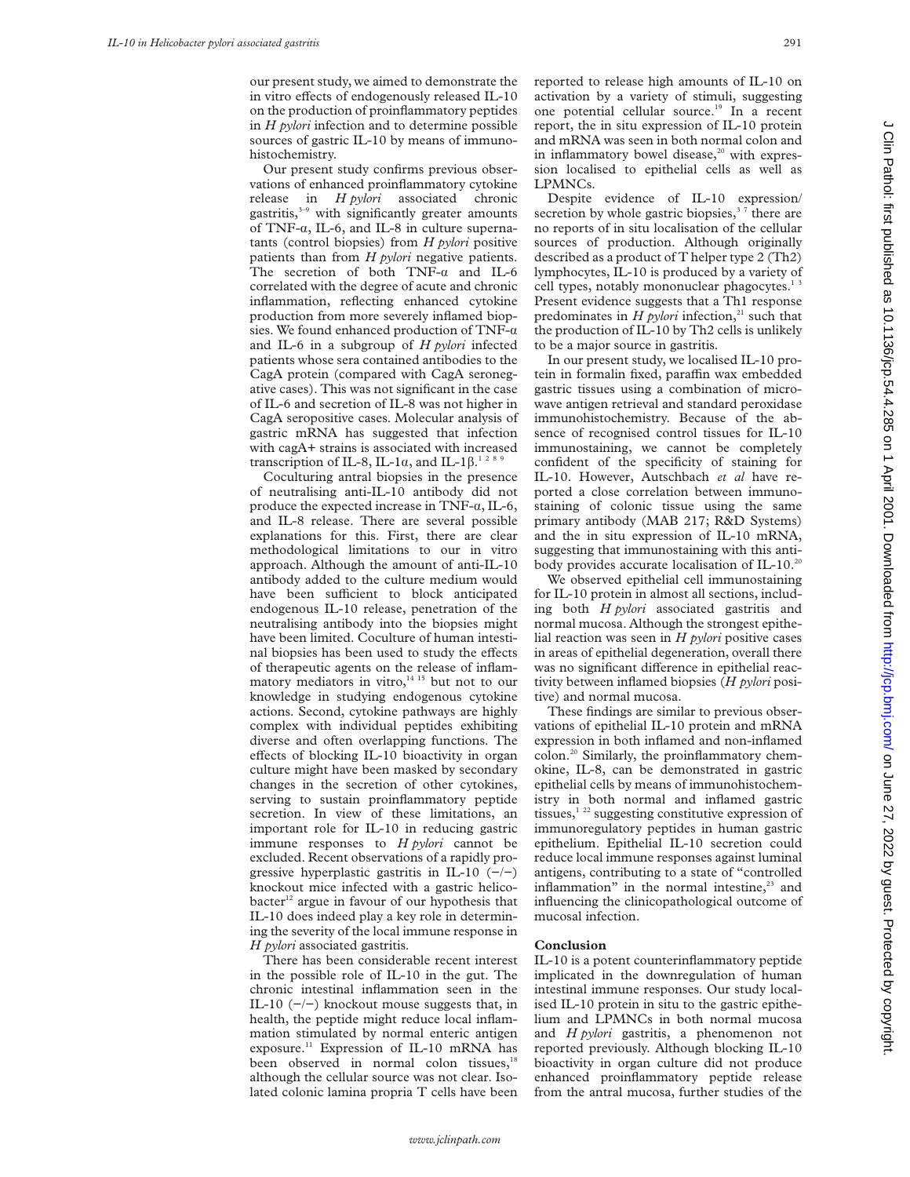our present study, we aimed to demonstrate the in vitro effects of endogenously released IL-10 on the production of proinflammatory peptides in *H pylori* infection and to determine possible sources of gastric IL-10 by means of immunohistochemistry.

Our present study confirms previous observations of enhanced proinflammatory cytokine release in *H pylori* associated chronic gastritis,<sup>3-9</sup> with significantly greater amounts of TNF-á, IL-6, and IL-8 in culture supernatants (control biopsies) from *H pylori* positive patients than from *H pylori* negative patients. The secretion of both  $TNF-a$  and IL-6 correlated with the degree of acute and chronic inflammation, reflecting enhanced cytokine production from more severely inflamed biopsies. We found enhanced production of TNF- $\alpha$ and IL-6 in a subgroup of *H pylori* infected patients whose sera contained antibodies to the CagA protein (compared with CagA seronegative cases). This was not significant in the case of IL-6 and secretion of IL-8 was not higher in CagA seropositive cases. Molecular analysis of gastric mRNA has suggested that infection with cagA+ strains is associated with increased transcription of IL-8, IL-1 $\alpha$ , and IL-1 $\beta$ .<sup>1289</sup>

Coculturing antral biopsies in the presence of neutralising anti-IL-10 antibody did not produce the expected increase in TNF- $\alpha$ , IL-6, and IL-8 release. There are several possible explanations for this. First, there are clear methodological limitations to our in vitro approach. Although the amount of anti-IL-10 antibody added to the culture medium would have been sufficient to block anticipated endogenous IL-10 release, penetration of the neutralising antibody into the biopsies might have been limited. Coculture of human intestinal biopsies has been used to study the effects of therapeutic agents on the release of inflammatory mediators in vitro, $14^{15}$  but not to our knowledge in studying endogenous cytokine actions. Second, cytokine pathways are highly complex with individual peptides exhibiting diverse and often overlapping functions. The effects of blocking IL-10 bioactivity in organ culture might have been masked by secondary changes in the secretion of other cytokines, serving to sustain proinflammatory peptide secretion. In view of these limitations, an important role for IL-10 in reducing gastric immune responses to *H pylori* cannot be excluded. Recent observations of a rapidly progressive hyperplastic gastritis in IL-10  $(-/-)$ knockout mice infected with a gastric helico $b$ acter<sup>12</sup> argue in favour of our hypothesis that IL-10 does indeed play a key role in determining the severity of the local immune response in *H pylori* associated gastritis.

There has been considerable recent interest in the possible role of IL-10 in the gut. The chronic intestinal inflammation seen in the IL-10  $(-/-)$  knockout mouse suggests that, in health, the peptide might reduce local inflammation stimulated by normal enteric antigen exposure.<sup>11</sup> Expression of IL-10 mRNA has been observed in normal colon tissues,<sup>18</sup> although the cellular source was not clear. Isolated colonic lamina propria T cells have been

reported to release high amounts of IL-10 on activation by a variety of stimuli, suggesting one potential cellular source.19 In a recent report, the in situ expression of IL-10 protein and mRNA was seen in both normal colon and in inflammatory bowel disease,<sup>20</sup> with expression localised to epithelial cells as well as LPMNCs.

Despite evidence of IL-10 expression/ secretion by whole gastric biopsies,  $37$  there are no reports of in situ localisation of the cellular sources of production. Although originally described as a product of T helper type 2 (Th2) lymphocytes, IL-10 is produced by a variety of cell types, notably mononuclear phagocytes.<sup>13</sup> Present evidence suggests that a Th1 response predominates in  $H$  *pylori* infection,<sup>21</sup> such that the production of IL-10 by Th2 cells is unlikely to be a major source in gastritis.

In our present study, we localised IL-10 protein in formalin fixed, paraffin wax embedded gastric tissues using a combination of microwave antigen retrieval and standard peroxidase immunohistochemistry. Because of the absence of recognised control tissues for IL-10 immunostaining, we cannot be completely confident of the specificity of staining for IL-10. However, Autschbach *et al* have reported a close correlation between immunostaining of colonic tissue using the same primary antibody (MAB 217; R&D Systems) and the in situ expression of IL-10 mRNA, suggesting that immunostaining with this antibody provides accurate localisation of IL-10.<sup>20</sup>

We observed epithelial cell immunostaining for IL-10 protein in almost all sections, including both *H pylori* associated gastritis and normal mucosa. Although the strongest epithelial reaction was seen in *H pylori* positive cases in areas of epithelial degeneration, overall there was no significant difference in epithelial reactivity between inflamed biopsies (*H pylori* positive) and normal mucosa.

These findings are similar to previous observations of epithelial IL-10 protein and mRNA expression in both inflamed and non-inflamed colon.20 Similarly, the proinflammatory chemokine, IL-8, can be demonstrated in gastric epithelial cells by means of immunohistochemistry in both normal and inflamed gastric tissues,<sup>1 22</sup> suggesting constitutive expression of immunoregulatory peptides in human gastric epithelium. Epithelial IL-10 secretion could reduce local immune responses against luminal antigens, contributing to a state of "controlled inflammation" in the normal intestine,<sup>23</sup> and influencing the clinicopathological outcome of mucosal infection.

#### **Conclusion**

IL-10 is a potent counterinflammatory peptide implicated in the downregulation of human intestinal immune responses. Our study localised IL-10 protein in situ to the gastric epithelium and LPMNCs in both normal mucosa and *H pylori* gastritis, a phenomenon not reported previously. Although blocking IL-10 bioactivity in organ culture did not produce enhanced proinflammatory peptide release from the antral mucosa, further studies of the